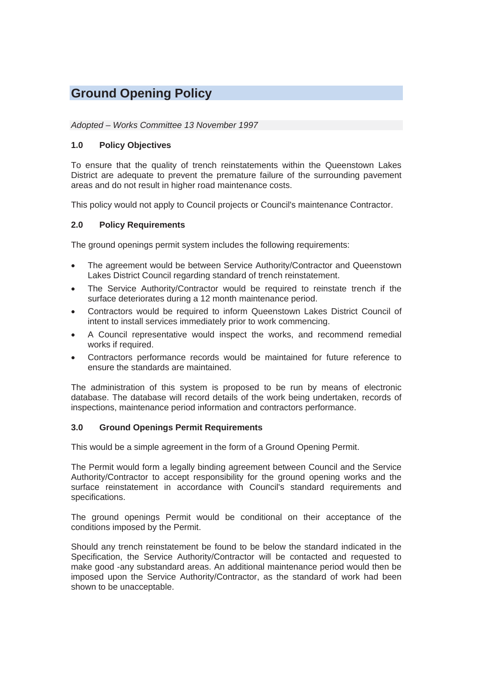# **Ground Opening Policy**

### *Adopted – Works Committee 13 November 1997*

## **1.0 Policy Objectives**

To ensure that the quality of trench reinstatements within the Queenstown Lakes District are adequate to prevent the premature failure of the surrounding pavement areas and do not result in higher road maintenance costs.

This policy would not apply to Council projects or Council's maintenance Contractor.

## **2.0 Policy Requirements**

The ground openings permit system includes the following requirements:

- The agreement would be between Service Authority/Contractor and Queenstown Lakes District Council regarding standard of trench reinstatement.
- The Service Authority/Contractor would be required to reinstate trench if the surface deteriorates during a 12 month maintenance period.
- x Contractors would be required to inform Queenstown Lakes District Council of intent to install services immediately prior to work commencing.
- A Council representative would inspect the works, and recommend remedial works if required.
- Contractors performance records would be maintained for future reference to ensure the standards are maintained.

The administration of this system is proposed to be run by means of electronic database. The database will record details of the work being undertaken, records of inspections, maintenance period information and contractors performance.

#### **3.0 Ground Openings Permit Requirements**

This would be a simple agreement in the form of a Ground Opening Permit.

The Permit would form a legally binding agreement between Council and the Service Authority/Contractor to accept responsibility for the ground opening works and the surface reinstatement in accordance with Council's standard requirements and specifications.

The ground openings Permit would be conditional on their acceptance of the conditions imposed by the Permit.

Should any trench reinstatement be found to be below the standard indicated in the Specification, the Service Authority/Contractor will be contacted and requested to make good -any substandard areas. An additional maintenance period would then be imposed upon the Service Authority/Contractor, as the standard of work had been shown to be unacceptable.